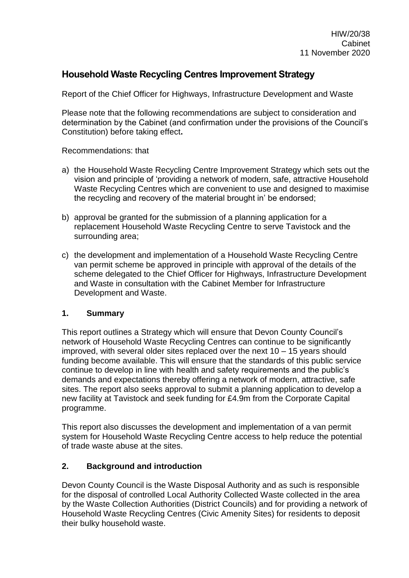### **Household Waste Recycling Centres Improvement Strategy**

Report of the Chief Officer for Highways, Infrastructure Development and Waste

Please note that the following recommendations are subject to consideration and determination by the Cabinet (and confirmation under the provisions of the Council's Constitution) before taking effect**.**

Recommendations: that

- a) the Household Waste Recycling Centre Improvement Strategy which sets out the vision and principle of 'providing a network of modern, safe, attractive Household Waste Recycling Centres which are convenient to use and designed to maximise the recycling and recovery of the material brought in' be endorsed;
- b) approval be granted for the submission of a planning application for a replacement Household Waste Recycling Centre to serve Tavistock and the surrounding area;
- c) the development and implementation of a Household Waste Recycling Centre van permit scheme be approved in principle with approval of the details of the scheme delegated to the Chief Officer for Highways, Infrastructure Development and Waste in consultation with the Cabinet Member for Infrastructure Development and Waste.

#### **1. Summary**

This report outlines a Strategy which will ensure that Devon County Council's network of Household Waste Recycling Centres can continue to be significantly improved, with several older sites replaced over the next 10 – 15 years should funding become available. This will ensure that the standards of this public service continue to develop in line with health and safety requirements and the public's demands and expectations thereby offering a network of modern, attractive, safe sites. The report also seeks approval to submit a planning application to develop a new facility at Tavistock and seek funding for £4.9m from the Corporate Capital programme.

This report also discusses the development and implementation of a van permit system for Household Waste Recycling Centre access to help reduce the potential of trade waste abuse at the sites.

#### **2. Background and introduction**

Devon County Council is the Waste Disposal Authority and as such is responsible for the disposal of controlled Local Authority Collected Waste collected in the area by the Waste Collection Authorities (District Councils) and for providing a network of Household Waste Recycling Centres (Civic Amenity Sites) for residents to deposit their bulky household waste.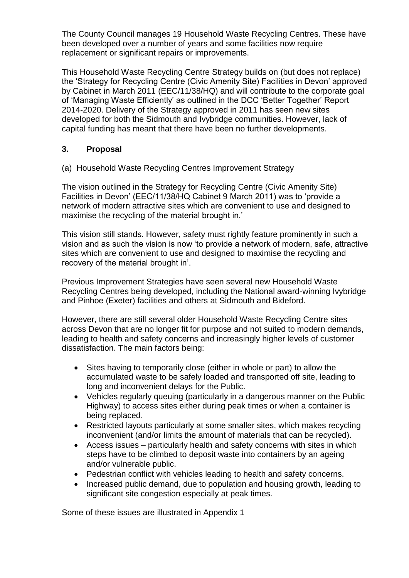The County Council manages 19 Household Waste Recycling Centres. These have been developed over a number of years and some facilities now require replacement or significant repairs or improvements.

This Household Waste Recycling Centre Strategy builds on (but does not replace) the 'Strategy for Recycling Centre (Civic Amenity Site) Facilities in Devon' approved by Cabinet in March 2011 (EEC/11/38/HQ) and will contribute to the corporate goal of 'Managing Waste Efficiently' as outlined in the DCC 'Better Together' Report 2014-2020. Delivery of the Strategy approved in 2011 has seen new sites developed for both the Sidmouth and Ivybridge communities. However, lack of capital funding has meant that there have been no further developments.

#### **3. Proposal**

(a) Household Waste Recycling Centres Improvement Strategy

The vision outlined in the Strategy for Recycling Centre (Civic Amenity Site) Facilities in Devon' (EEC/11/38/HQ Cabinet 9 March 2011) was to 'provide a network of modern attractive sites which are convenient to use and designed to maximise the recycling of the material brought in.'

This vision still stands. However, safety must rightly feature prominently in such a vision and as such the vision is now 'to provide a network of modern, safe, attractive sites which are convenient to use and designed to maximise the recycling and recovery of the material brought in'.

Previous Improvement Strategies have seen several new Household Waste Recycling Centres being developed, including the National award-winning Ivybridge and Pinhoe (Exeter) facilities and others at Sidmouth and Bideford.

However, there are still several older Household Waste Recycling Centre sites across Devon that are no longer fit for purpose and not suited to modern demands, leading to health and safety concerns and increasingly higher levels of customer dissatisfaction. The main factors being:

- Sites having to temporarily close (either in whole or part) to allow the accumulated waste to be safely loaded and transported off site, leading to long and inconvenient delays for the Public.
- Vehicles regularly queuing (particularly in a dangerous manner on the Public Highway) to access sites either during peak times or when a container is being replaced.
- Restricted layouts particularly at some smaller sites, which makes recycling inconvenient (and/or limits the amount of materials that can be recycled).
- Access issues particularly health and safety concerns with sites in which steps have to be climbed to deposit waste into containers by an ageing and/or vulnerable public.
- Pedestrian conflict with vehicles leading to health and safety concerns.
- Increased public demand, due to population and housing growth, leading to significant site congestion especially at peak times.

Some of these issues are illustrated in Appendix 1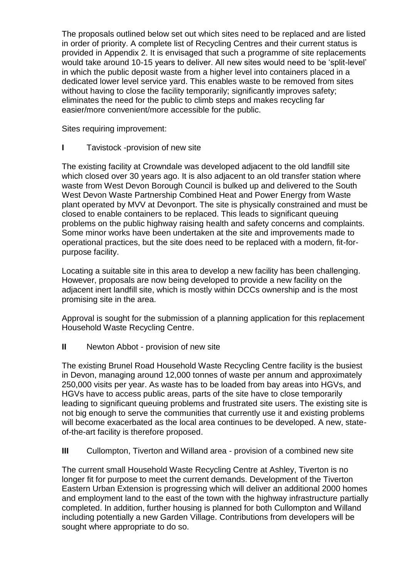The proposals outlined below set out which sites need to be replaced and are listed in order of priority. A complete list of Recycling Centres and their current status is provided in Appendix 2. It is envisaged that such a programme of site replacements would take around 10-15 years to deliver. All new sites would need to be 'split-level' in which the public deposit waste from a higher level into containers placed in a dedicated lower level service yard. This enables waste to be removed from sites without having to close the facility temporarily; significantly improves safety; eliminates the need for the public to climb steps and makes recycling far easier/more convenient/more accessible for the public.

Sites requiring improvement:

**I** Tavistock -provision of new site

The existing facility at Crowndale was developed adjacent to the old landfill site which closed over 30 years ago. It is also adjacent to an old transfer station where waste from West Devon Borough Council is bulked up and delivered to the South West Devon Waste Partnership Combined Heat and Power Energy from Waste plant operated by MVV at Devonport. The site is physically constrained and must be closed to enable containers to be replaced. This leads to significant queuing problems on the public highway raising health and safety concerns and complaints. Some minor works have been undertaken at the site and improvements made to operational practices, but the site does need to be replaced with a modern, fit-forpurpose facility.

Locating a suitable site in this area to develop a new facility has been challenging. However, proposals are now being developed to provide a new facility on the adjacent inert landfill site, which is mostly within DCCs ownership and is the most promising site in the area.

Approval is sought for the submission of a planning application for this replacement Household Waste Recycling Centre.

**II** Newton Abbot - provision of new site

The existing Brunel Road Household Waste Recycling Centre facility is the busiest in Devon, managing around 12,000 tonnes of waste per annum and approximately 250,000 visits per year. As waste has to be loaded from bay areas into HGVs, and HGVs have to access public areas, parts of the site have to close temporarily leading to significant queuing problems and frustrated site users. The existing site is not big enough to serve the communities that currently use it and existing problems will become exacerbated as the local area continues to be developed. A new, stateof-the-art facility is therefore proposed.

**III** Cullompton, Tiverton and Willand area - provision of a combined new site

The current small Household Waste Recycling Centre at Ashley, Tiverton is no longer fit for purpose to meet the current demands. Development of the Tiverton Eastern Urban Extension is progressing which will deliver an additional 2000 homes and employment land to the east of the town with the highway infrastructure partially completed. In addition, further housing is planned for both Cullompton and Willand including potentially a new Garden Village. Contributions from developers will be sought where appropriate to do so.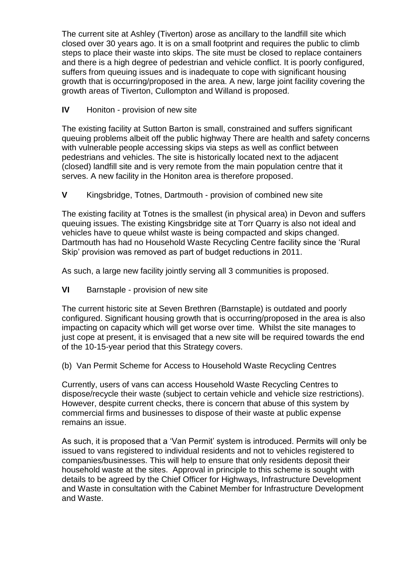The current site at Ashley (Tiverton) arose as ancillary to the landfill site which closed over 30 years ago. It is on a small footprint and requires the public to climb steps to place their waste into skips. The site must be closed to replace containers and there is a high degree of pedestrian and vehicle conflict. It is poorly configured, suffers from queuing issues and is inadequate to cope with significant housing growth that is occurring/proposed in the area. A new, large joint facility covering the growth areas of Tiverton, Cullompton and Willand is proposed.

**IV** Honiton - provision of new site

The existing facility at Sutton Barton is small, constrained and suffers significant queuing problems albeit off the public highway There are health and safety concerns with vulnerable people accessing skips via steps as well as conflict between pedestrians and vehicles. The site is historically located next to the adjacent (closed) landfill site and is very remote from the main population centre that it serves. A new facility in the Honiton area is therefore proposed.

**V** Kingsbridge, Totnes, Dartmouth - provision of combined new site

The existing facility at Totnes is the smallest (in physical area) in Devon and suffers queuing issues. The existing Kingsbridge site at Torr Quarry is also not ideal and vehicles have to queue whilst waste is being compacted and skips changed. Dartmouth has had no Household Waste Recycling Centre facility since the 'Rural Skip' provision was removed as part of budget reductions in 2011.

As such, a large new facility jointly serving all 3 communities is proposed.

**VI** Barnstaple - provision of new site

The current historic site at Seven Brethren (Barnstaple) is outdated and poorly configured. Significant housing growth that is occurring/proposed in the area is also impacting on capacity which will get worse over time. Whilst the site manages to just cope at present, it is envisaged that a new site will be required towards the end of the 10-15-year period that this Strategy covers.

(b) Van Permit Scheme for Access to Household Waste Recycling Centres

Currently, users of vans can access Household Waste Recycling Centres to dispose/recycle their waste (subject to certain vehicle and vehicle size restrictions). However, despite current checks, there is concern that abuse of this system by commercial firms and businesses to dispose of their waste at public expense remains an issue.

As such, it is proposed that a 'Van Permit' system is introduced. Permits will only be issued to vans registered to individual residents and not to vehicles registered to companies/businesses. This will help to ensure that only residents deposit their household waste at the sites. Approval in principle to this scheme is sought with details to be agreed by the Chief Officer for Highways, Infrastructure Development and Waste in consultation with the Cabinet Member for Infrastructure Development and Waste.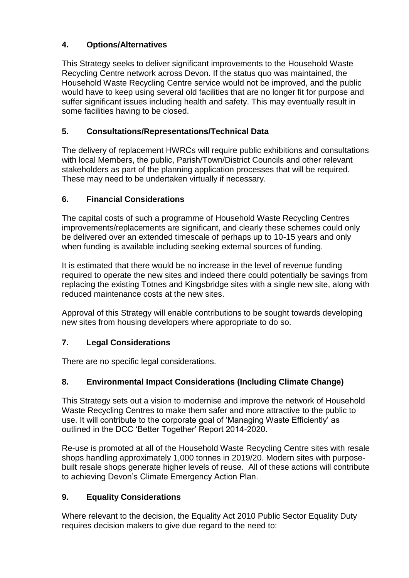## **4. Options/Alternatives**

This Strategy seeks to deliver significant improvements to the Household Waste Recycling Centre network across Devon. If the status quo was maintained, the Household Waste Recycling Centre service would not be improved, and the public would have to keep using several old facilities that are no longer fit for purpose and suffer significant issues including health and safety. This may eventually result in some facilities having to be closed.

## **5. Consultations/Representations/Technical Data**

The delivery of replacement HWRCs will require public exhibitions and consultations with local Members, the public, Parish/Town/District Councils and other relevant stakeholders as part of the planning application processes that will be required. These may need to be undertaken virtually if necessary.

## **6. Financial Considerations**

The capital costs of such a programme of Household Waste Recycling Centres improvements/replacements are significant, and clearly these schemes could only be delivered over an extended timescale of perhaps up to 10-15 years and only when funding is available including seeking external sources of funding.

It is estimated that there would be no increase in the level of revenue funding required to operate the new sites and indeed there could potentially be savings from replacing the existing Totnes and Kingsbridge sites with a single new site, along with reduced maintenance costs at the new sites.

Approval of this Strategy will enable contributions to be sought towards developing new sites from housing developers where appropriate to do so.

# **7. Legal Considerations**

There are no specific legal considerations.

### **8. Environmental Impact Considerations (Including Climate Change)**

This Strategy sets out a vision to modernise and improve the network of Household Waste Recycling Centres to make them safer and more attractive to the public to use. It will contribute to the corporate goal of 'Managing Waste Efficiently' as outlined in the DCC 'Better Together' Report 2014-2020.

Re-use is promoted at all of the Household Waste Recycling Centre sites with resale shops handling approximately 1,000 tonnes in 2019/20. Modern sites with purposebuilt resale shops generate higher levels of reuse. All of these actions will contribute to achieving Devon's Climate Emergency Action Plan.

### **9. Equality Considerations**

Where relevant to the decision, the Equality Act 2010 Public Sector Equality Duty requires decision makers to give due regard to the need to: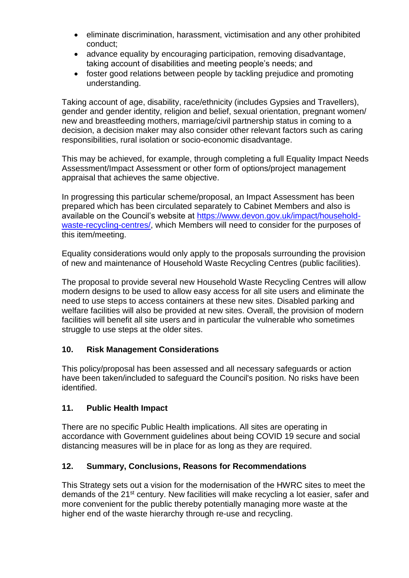- eliminate discrimination, harassment, victimisation and any other prohibited conduct;
- advance equality by encouraging participation, removing disadvantage, taking account of disabilities and meeting people's needs; and
- foster good relations between people by tackling prejudice and promoting understanding.

Taking account of age, disability, race/ethnicity (includes Gypsies and Travellers), gender and gender identity, religion and belief, sexual orientation, pregnant women/ new and breastfeeding mothers, marriage/civil partnership status in coming to a decision, a decision maker may also consider other relevant factors such as caring responsibilities, rural isolation or socio-economic disadvantage.

This may be achieved, for example, through completing a full Equality Impact Needs Assessment/Impact Assessment or other form of options/project management appraisal that achieves the same objective.

In progressing this particular scheme/proposal, an Impact Assessment has been prepared which has been circulated separately to Cabinet Members and also is available on the Council's website at [https://www.devon.gov.uk/impact/household](https://www.devon.gov.uk/impact/household-waste-recycling-centres/)[waste-recycling-centres/,](https://www.devon.gov.uk/impact/household-waste-recycling-centres/) which Members will need to consider for the purposes of this item/meeting.

Equality considerations would only apply to the proposals surrounding the provision of new and maintenance of Household Waste Recycling Centres (public facilities).

The proposal to provide several new Household Waste Recycling Centres will allow modern designs to be used to allow easy access for all site users and eliminate the need to use steps to access containers at these new sites. Disabled parking and welfare facilities will also be provided at new sites. Overall, the provision of modern facilities will benefit all site users and in particular the vulnerable who sometimes struggle to use steps at the older sites.

#### **10. Risk Management Considerations**

This policy/proposal has been assessed and all necessary safeguards or action have been taken/included to safeguard the Council's position. No risks have been identified.

#### **11. Public Health Impact**

There are no specific Public Health implications. All sites are operating in accordance with Government guidelines about being COVID 19 secure and social distancing measures will be in place for as long as they are required.

### **12. Summary, Conclusions, Reasons for Recommendations**

This Strategy sets out a vision for the modernisation of the HWRC sites to meet the demands of the 21st century. New facilities will make recycling a lot easier, safer and more convenient for the public thereby potentially managing more waste at the higher end of the waste hierarchy through re-use and recycling.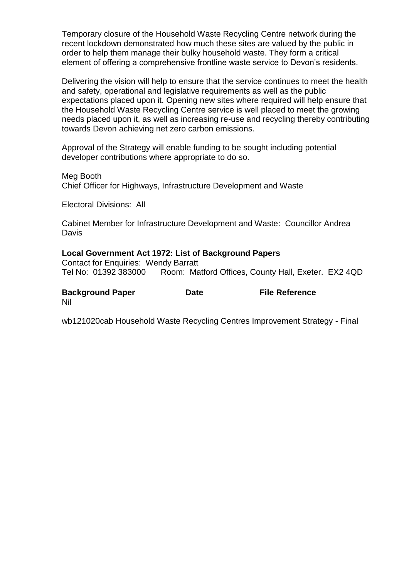Temporary closure of the Household Waste Recycling Centre network during the recent lockdown demonstrated how much these sites are valued by the public in order to help them manage their bulky household waste. They form a critical element of offering a comprehensive frontline waste service to Devon's residents.

Delivering the vision will help to ensure that the service continues to meet the health and safety, operational and legislative requirements as well as the public expectations placed upon it. Opening new sites where required will help ensure that the Household Waste Recycling Centre service is well placed to meet the growing needs placed upon it, as well as increasing re-use and recycling thereby contributing towards Devon achieving net zero carbon emissions.

Approval of the Strategy will enable funding to be sought including potential developer contributions where appropriate to do so.

Meg Booth Chief Officer for Highways, Infrastructure Development and Waste

Electoral Divisions: All

Cabinet Member for Infrastructure Development and Waste: Councillor Andrea **Davis** 

#### **Local Government Act 1972: List of Background Papers**

Contact for Enquiries: Wendy Barratt Tel No: 01392 383000 Room: Matford Offices, County Hall, Exeter. EX2 4QD

| <b>Background Paper</b> | <b>Date</b> | <b>File Reference</b> |
|-------------------------|-------------|-----------------------|
| Nil                     |             |                       |

wb121020cab Household Waste Recycling Centres Improvement Strategy - Final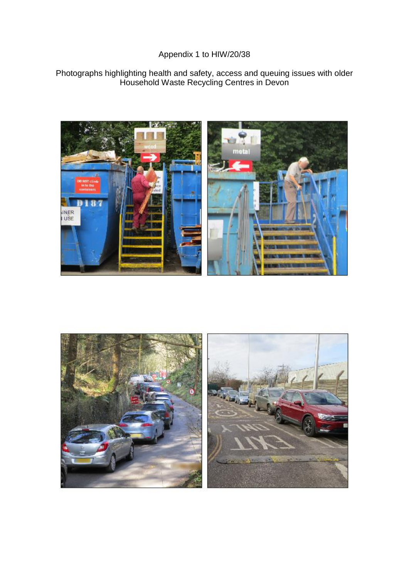### Appendix 1 to HIW/20/38

#### Photographs highlighting health and safety, access and queuing issues with older Household Waste Recycling Centres in Devon